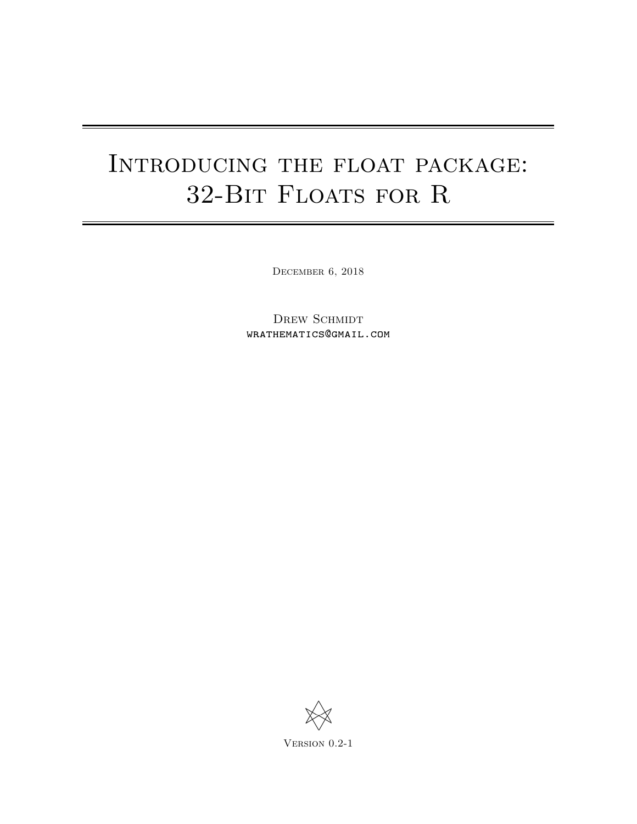# INTRODUCING THE FLOAT PACKAGE: 32-Bit Floats for R

December 6, 2018

DREW SCHMIDT wrathematics@gmail.com

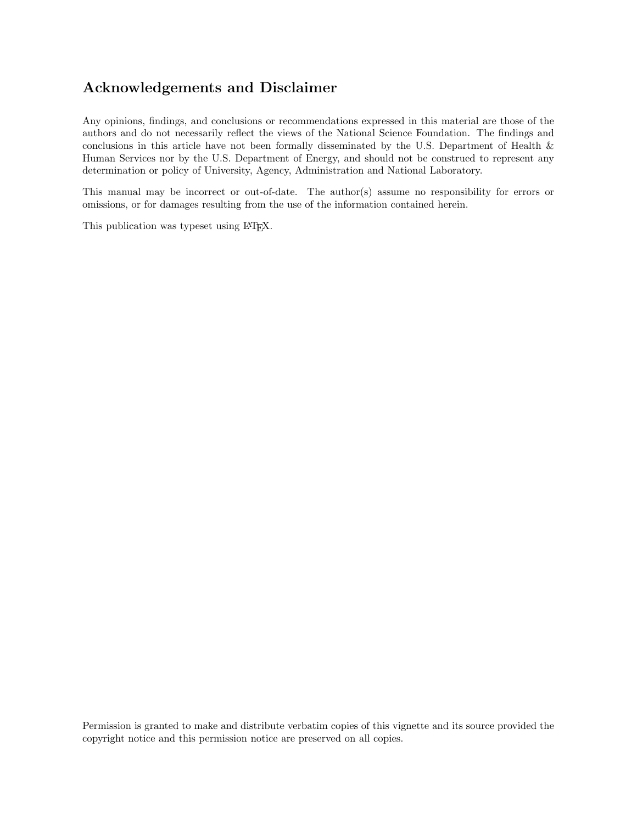## Acknowledgements and Disclaimer

Any opinions, findings, and conclusions or recommendations expressed in this material are those of the authors and do not necessarily reflect the views of the National Science Foundation. The findings and conclusions in this article have not been formally disseminated by the U.S. Department of Health & Human Services nor by the U.S. Department of Energy, and should not be construed to represent any determination or policy of University, Agency, Administration and National Laboratory.

This manual may be incorrect or out-of-date. The author(s) assume no responsibility for errors or omissions, or for damages resulting from the use of the information contained herein.

This publication was typeset using LAT<sub>E</sub>X.

Permission is granted to make and distribute verbatim copies of this vignette and its source provided the copyright notice and this permission notice are preserved on all copies.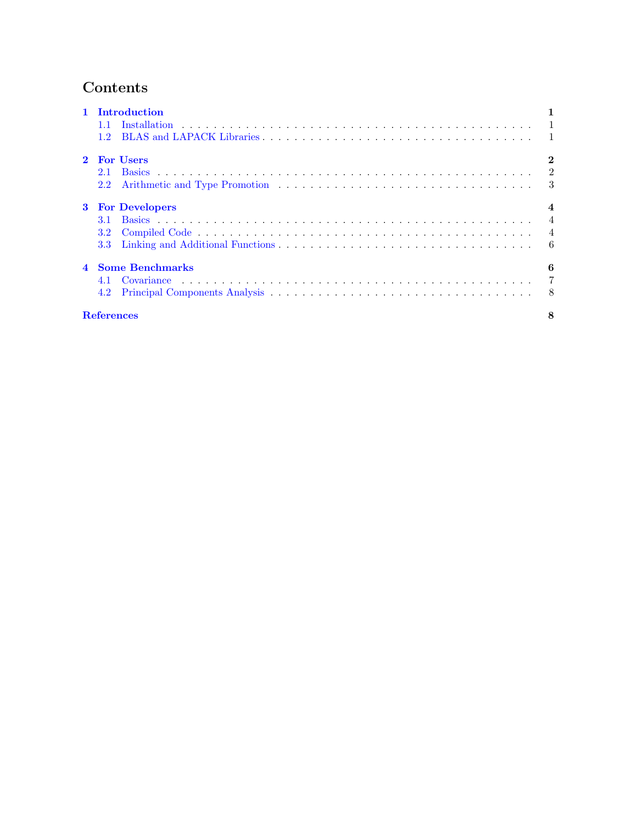## Contents

| 1 Introduction          |             |          |  |
|-------------------------|-------------|----------|--|
| 1.1                     |             |          |  |
|                         |             |          |  |
|                         | 2 For Users | $\bf{2}$ |  |
| 2.1                     |             |          |  |
| 2.2                     |             |          |  |
| <b>3</b> For Developers |             |          |  |
|                         |             |          |  |
|                         |             |          |  |
|                         |             |          |  |
| 4 Some Benchmarks       |             |          |  |
|                         |             |          |  |
|                         |             |          |  |
| <b>References</b>       |             |          |  |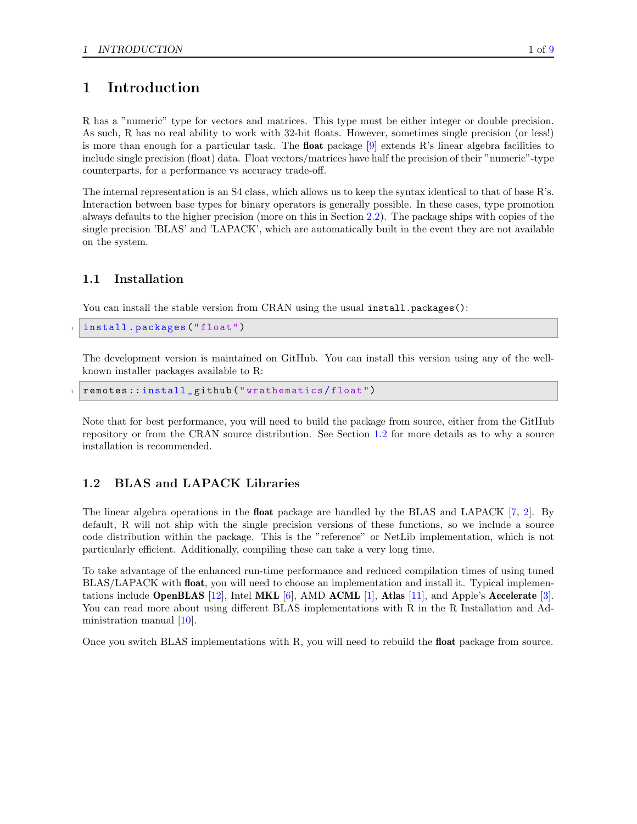## <span id="page-3-0"></span>1 Introduction

R has a "numeric" type for vectors and matrices. This type must be either integer or double precision. As such, R has no real ability to work with 32-bit floats. However, sometimes single precision (or less!) is more than enough for a particular task. The **float** package  $[9]$  extends R's linear algebra facilities to include single precision (float) data. Float vectors/matrices have half the precision of their "numeric"-type counterparts, for a performance vs accuracy trade-off.

The internal representation is an S4 class, which allows us to keep the syntax identical to that of base R's. Interaction between base types for binary operators is generally possible. In these cases, type promotion always defaults to the higher precision (more on this in Section [2.2\)](#page-5-0). The package ships with copies of the single precision 'BLAS' and 'LAPACK', which are automatically built in the event they are not available on the system.

### <span id="page-3-1"></span>1.1 Installation

You can install the stable version from CRAN using the usual install.packages():

```
install . packages ("float")
```
The development version is maintained on GitHub. You can install this version using any of the wellknown installer packages available to R:

remotes::install\_github("wrathematics/float")

Note that for best performance, you will need to build the package from source, either from the GitHub repository or from the CRAN source distribution. See Section [1.2](#page-3-2) for more details as to why a source installation is recommended.

## <span id="page-3-2"></span>1.2 BLAS and LAPACK Libraries

The linear algebra operations in the float package are handled by the BLAS and LAPACK [\[7,](#page-10-2) [2\]](#page-10-3). By default, R will not ship with the single precision versions of these functions, so we include a source code distribution within the package. This is the "reference" or NetLib implementation, which is not particularly efficient. Additionally, compiling these can take a very long time.

To take advantage of the enhanced run-time performance and reduced compilation times of using tuned BLAS/LAPACK with **float**, you will need to choose an implementation and install it. Typical implementations include **OpenBLAS** [\[12\]](#page-11-2), Intel **MKL** [\[6\]](#page-10-4), AMD **ACML** [\[1\]](#page-10-5), **Atlas** [\[11\]](#page-11-3), and Apple's **Accelerate** [\[3\]](#page-10-6). You can read more about using different BLAS implementations with R in the R Installation and Administration manual [\[10\]](#page-11-4).

Once you switch BLAS implementations with R, you will need to rebuild the float package from source.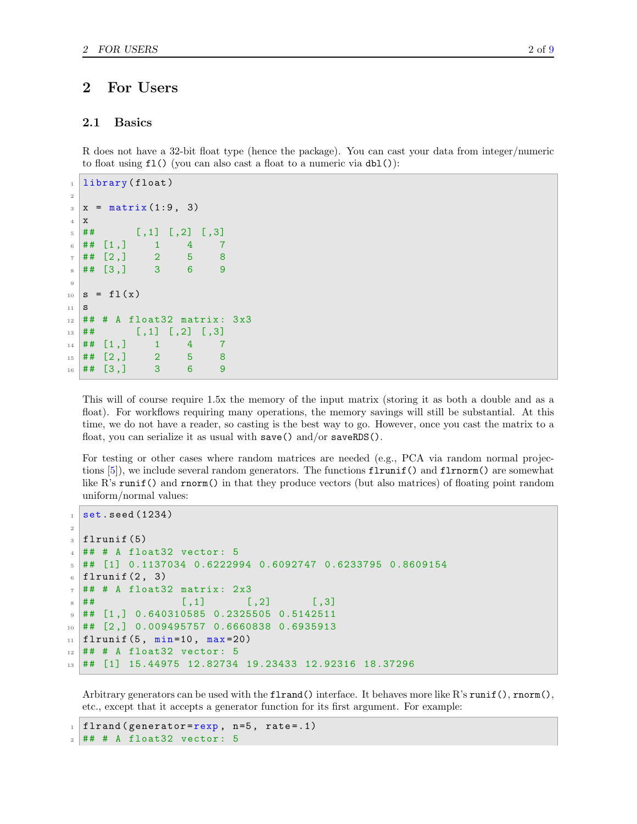## <span id="page-4-0"></span>2 For Users

#### <span id="page-4-1"></span>2.1 Basics

R does not have a 32-bit float type (hence the package). You can cast your data from integer/numeric to float using  $f1()$  (you can also cast a float to a numeric via  $db1()$ ):

```
1 library ( float )
2
_3 x = matrix (1:9, 3)4 x
\frac{1}{5} \frac{1}{4} \frac{1}{4} \frac{1}{5} \frac{1}{5} \frac{1}{5} \frac{1}{2} \frac{1}{5} \frac{1}{6} \frac{1}{3} \frac{1}{2}6 ## [1,] 1 4 7
7 \mid ## \quad [2,] \qquad 2 \qquad 5 \qquad 8\frac{1}{8} ## [3,] 3 6 9
9
_{10} s = fl(x)
11 \overline{S}_{12} ## # A float32 matrix: 3x3
\frac{1}{13} ## [, 1] [, 2] [, 3]
_{14} ## [1,] 1 4 7
15 \neq 14 [2,] 2 5 8
16 ## [3,] 3 6 9
```
This will of course require 1.5x the memory of the input matrix (storing it as both a double and as a float). For workflows requiring many operations, the memory savings will still be substantial. At this time, we do not have a reader, so casting is the best way to go. However, once you cast the matrix to a float, you can serialize it as usual with save() and/or saveRDS().

For testing or other cases where random matrices are needed (e.g., PCA via random normal projections  $[5]$ , we include several random generators. The functions  $\text{flrunif}()$  and  $\text{flrunif}()$  are somewhat like R's runif() and rnorm() in that they produce vectors (but also matrices) of floating point random uniform/normal values:

```
set.seed (1234)
2
_3 flrunif (5)4 ## # A float32 vector: 5
5 ## [1] 0.1137034 0.6222994 0.6092747 0.6233795 0.8609154
_6 flrunif (2, 3)7 ## # A float32 matrix: 2x3
\begin{bmatrix} 8 \end{bmatrix} ## \begin{bmatrix} 7 \end{bmatrix} \begin{bmatrix} 7 \end{bmatrix} \begin{bmatrix} 7 \end{bmatrix} \begin{bmatrix} 7 \end{bmatrix}9 \mid ## [1,] 0.640310585 0.2325505 0.5142511
10 ## [2 ,] 0.009495757 0.6660838 0.6935913
_{11} flrunif (5, min=10, max=20)
_{12} ## # A float32 vector: 5
13 ## [1] 15.44975 12.82734 19.23433 12.92316 18.37296
```
Arbitrary generators can be used with the flrand() interface. It behaves more like R's runif(), rnorm(), etc., except that it accepts a generator function for its first argument. For example:

```
flrand (generator=revp, n=5, rate=.1)_2 ## # A float32 vector: 5
```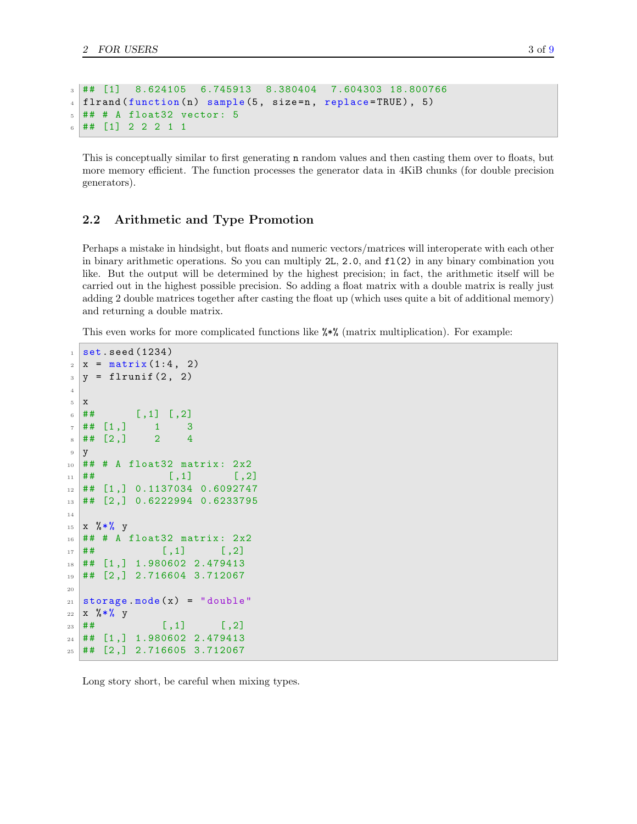```
3 ## [1] 8.624105 6.745913 8.380404 7.604303 18.800766
4 flrand (function (n) sample (5, size=n, replace=TRUE), 5)
5 ## # A float32 vector: 5
6 ## [1] 2 2 2 1 1
```
This is conceptually similar to first generating n random values and then casting them over to floats, but more memory efficient. The function processes the generator data in 4KiB chunks (for double precision generators).

#### <span id="page-5-0"></span>2.2 Arithmetic and Type Promotion

Perhaps a mistake in hindsight, but floats and numeric vectors/matrices will interoperate with each other in binary arithmetic operations. So you can multiply 2L, 2.0, and fl(2) in any binary combination you like. But the output will be determined by the highest precision; in fact, the arithmetic itself will be carried out in the highest possible precision. So adding a float matrix with a double matrix is really just adding 2 double matrices together after casting the float up (which uses quite a bit of additional memory) and returning a double matrix.

This even works for more complicated functions like %\*% (matrix multiplication). For example:

```
_1 set. seed (1234)2 \times = \text{matrix}(1:4, 2)_3 y = flrunif (2, 2)
 4
 5 x
 6 \sharp # [, 1] [, 2]
 7 \mid ## [1,] 1 3
 \frac{1}{8} ## [2,] 2 4
 9 y
_{10} ## # A float32 matrix: 2x2
\begin{bmatrix} 11 \end{bmatrix} ## [,1] [,2]
12 ## [1,] 0.1137034 0.6092747
13 ## [2,] 0.6222994 0.6233795
14
_{15} x % * % y
_{16} ## # A float32 matrix: 2x2
\frac{17}{4} # \frac{17}{4} \frac{1}{4} \frac{1}{1} \frac{1}{1} \frac{1}{1} \frac{1}{1} \frac{1}{1} \frac{1}{1} \frac{1}{1} \frac{1}{1} \frac{1}{1} \frac{1}{1} \frac{1}{1} \frac{1}{1} \frac{1}{1} \frac{1}{1} \frac{1}{1} \frac{1}{1} \frac{1}{1} \frac{1}{1} \frac{1}{118 ## [1 ,] 1.980602 2.479413
19 ## [2 ,] 2.716604 3.712067
20
21 storage mode(x) = "double"_{22} x % * % y
\frac{1}{23} ## [,1] [,2]
24 ## [1 ,] 1.980602 2.479413
25 ## [2 ,] 2.716605 3.712067
```
Long story short, be careful when mixing types.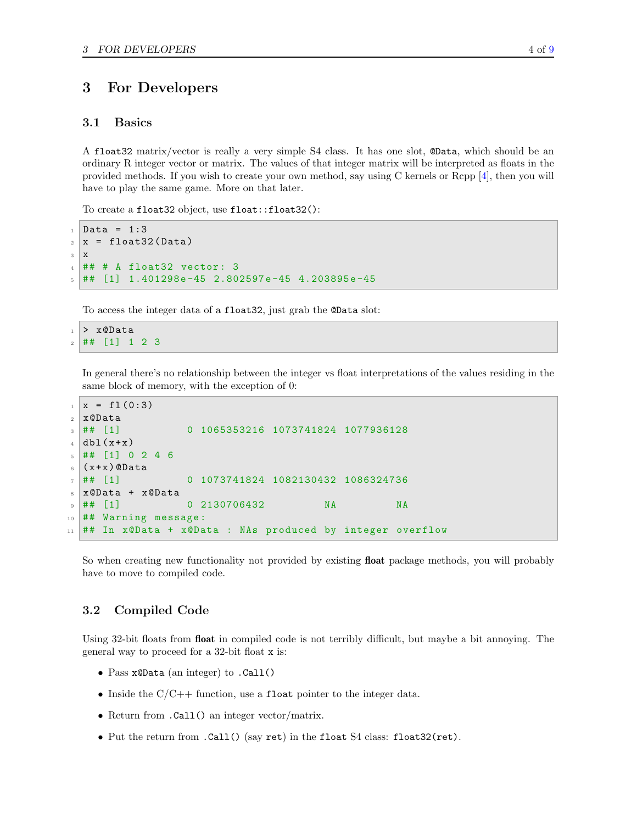## <span id="page-6-0"></span>3 For Developers

#### <span id="page-6-1"></span>3.1 Basics

A float32 matrix/vector is really a very simple S4 class. It has one slot, @Data, which should be an ordinary R integer vector or matrix. The values of that integer matrix will be interpreted as floats in the provided methods. If you wish to create your own method, say using C kernels or Rcpp [\[4\]](#page-10-8), then you will have to play the same game. More on that later.

To create a float32 object, use float::float32():

```
_{1} Data = 1:3
2 \times = float 32 (Data)
3 x
_4 \# \# A float32 vector: 3
5 ## [1] 1.401298e-45 2.802597e-45 4.203895e-45
```
To access the integer data of a float32, just grab the @Data slot:

> x@Data  $_2$  ## [1] 1 2 3

> In general there's no relationship between the integer vs float interpretations of the values residing in the same block of memory, with the exception of 0:

```
_1 \, | \, x = f1(0:3)2 \times 0Data
3 ## [1] 0 1065353216 1073741824 1077936128
_4 dbl (x+x)5 ## [1] 0 2 4 6
6(x+x) @Data
  7 ## [1] 0 1073741824 1082130432 1086324736
8 \times x @Data + x @Data
9 ## [1] 0 2130706432 NA NA
10 ## Warning message:
11 ## In x@Data + x@Data : NAs produced by integer overflow
```
So when creating new functionality not provided by existing float package methods, you will probably have to move to compiled code.

#### <span id="page-6-2"></span>3.2 Compiled Code

Using 32-bit floats from float in compiled code is not terribly difficult, but maybe a bit annoying. The general way to proceed for a 32-bit float x is:

- Pass x@Data (an integer) to .Call()
- Inside the  $C/C++$  function, use a float pointer to the integer data.
- Return from .Call() an integer vector/matrix.
- Put the return from .Call() (say ret) in the float S4 class: float32(ret).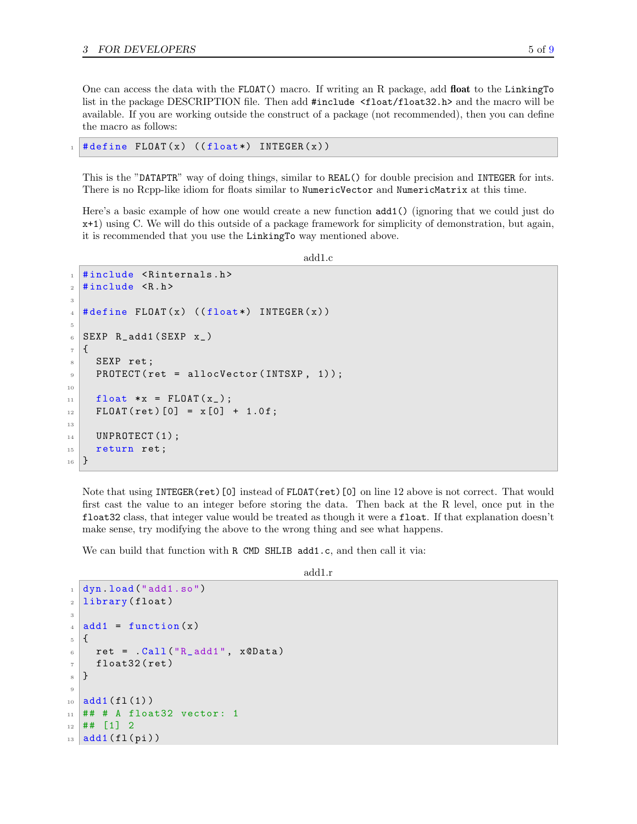One can access the data with the FLOAT() macro. If writing an R package, add float to the LinkingTo list in the package DESCRIPTION file. Then add #include <float/float32.h> and the macro will be available. If you are working outside the construct of a package (not recommended), then you can define the macro as follows:

 $# define FLOAT(x) ((float*) INTEGER(x))$ 

This is the "DATAPTR" way of doing things, similar to REAL() for double precision and INTEGER for ints. There is no Rcpp-like idiom for floats similar to NumericVector and NumericMatrix at this time.

Here's a basic example of how one would create a new function add1() (ignoring that we could just do x+1) using C. We will do this outside of a package framework for simplicity of demonstration, but again, it is recommended that you use the LinkingTo way mentioned above.

add1.c

```
1 #include <Rinternals.h>
_2 #include \langle R.h \rangle3
  # define FLOAT(x) ((float*) INTEGER(x))5
6 SEXP R_add1 (SEXP x_)
7 \mid \mathbf{f}SEXP ret;
9 PROTECT (ret = allocVector (INTSXP, 1));
10
_{11} float *x = FLOAT(x_);
_{12} FLOAT (ret) [0] = x [0] + 1.0f;
13
_{14} UNPROTECT (1);
15 return ret;
16 }
```
Note that using INTEGER(ret)[0] instead of FLOAT(ret)[0] on line 12 above is not correct. That would first cast the value to an integer before storing the data. Then back at the R level, once put in the float32 class, that integer value would be treated as though it were a float. If that explanation doesn't make sense, try modifying the above to the wrong thing and see what happens.

We can build that function with R CMD SHLIB add1.c, and then call it via:

add1.r

```
dyn. load ("add1.so")
_2 | library (float)
3
_4 add1 = function (x)5 \mid \mathbf{f}6 ret = .Call ("R_add1", x@Data)7 float 32 (ret)
8 }
9
_{10} add1 (fl (1))
_{11} ## # A float32 vector: 1
12 \mid ## [1] 2
_{13} add1 (fl (pi))
```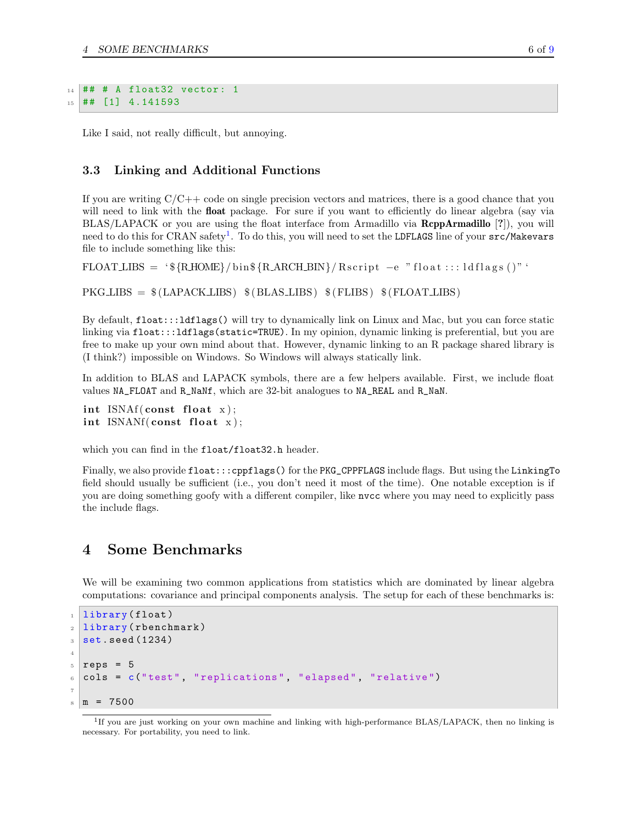```
_{14} ## # A float32 vector: 1
15 ## [1] 4.141593
```
Like I said, not really difficult, but annoying.

#### <span id="page-8-0"></span>3.3 Linking and Additional Functions

If you are writing  $C/C++$  code on single precision vectors and matrices, there is a good chance that you will need to link with the **float** package. For sure if you want to efficiently do linear algebra (say via BLAS/LAPACK or you are using the float interface from Armadillo via RcppArmadillo [?]), you will need to do this for CRAN safety $^1$  $^1$ . To do this, you will need to set the LDFLAGS line of your  $\texttt{src/Makevars}$ file to include something like this:

```
FLOATLIBS = '\frac{8}{R}HOME}/\{hins\}R\_ARCH_BIN}/Rscript \text{script } t - e "float ::: ldflags ()"
```
 $PKGLLBSS = $(LAPACKLIBS) $(BLAS_LIBS) $(FLIBS) $(FLOATLIBS)$$ 

By default, float:::ldflags() will try to dynamically link on Linux and Mac, but you can force static linking via float:::ldflags(static=TRUE). In my opinion, dynamic linking is preferential, but you are free to make up your own mind about that. However, dynamic linking to an R package shared library is (I think?) impossible on Windows. So Windows will always statically link.

In addition to BLAS and LAPACK symbols, there are a few helpers available. First, we include float values NA\_FLOAT and R\_NaNf, which are 32-bit analogues to NA\_REAL and R\_NaN.

```
int ISNAf (const float x);
int ISNANf(const \text{float } x);
```
which you can find in the float/float32.h header.

Finally, we also provide  $float:::cppflags()$  for the PKG\_CPPFLAGS include flags. But using the LinkingTo field should usually be sufficient (i.e., you don't need it most of the time). One notable exception is if you are doing something goofy with a different compiler, like nvcc where you may need to explicitly pass the include flags.

### <span id="page-8-1"></span>4 Some Benchmarks

We will be examining two common applications from statistics which are dominated by linear algebra computations: covariance and principal components analysis. The setup for each of these benchmarks is:

```
_1 library (float)
2 library (rbenchmark)
3 set. seed (1234)4
_5 reps = 5cols = c("test", "replications", "elapsed", "relative")
7
 m = 7500
```
<span id="page-8-2"></span><sup>&</sup>lt;sup>1</sup>If you are just working on your own machine and linking with high-performance BLAS/LAPACK, then no linking is necessary. For portability, you need to link.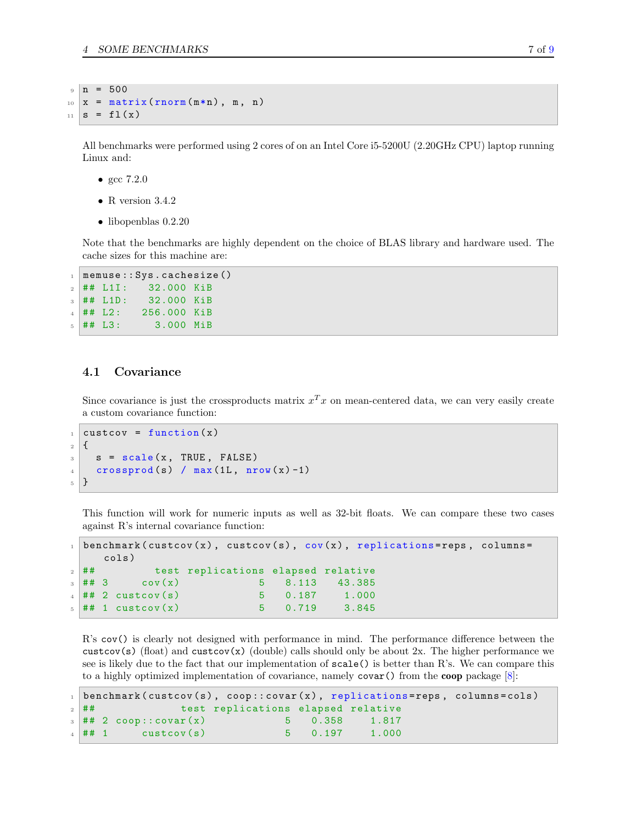$9 \mid n = 500$  $_{10}$  x = matrix (rnorm  $(m*n)$ , m, n)  $_{11}$  s = fl(x)

All benchmarks were performed using 2 cores of on an Intel Core i5-5200U (2.20GHz CPU) laptop running Linux and:

- gcc 7.2.0
- R version  $3.4.2$
- libopenblas 0.2.20

Note that the benchmarks are highly dependent on the choice of BLAS library and hardware used. The cache sizes for this machine are:

```
1 memuse:: Sys.cachesize()
_{2} ## L1I: 32.000 KiB
3 \mid ## L1D: 32.000 KiB
4 \mid ## L2: 256.000 KiB
5 \# # \ L3: 3.000 \ MiB
```
#### <span id="page-9-0"></span>4.1 Covariance

Since covariance is just the crossproducts matrix  $x^T x$  on mean-centered data, we can very easily create a custom covariance function:

```
\texttt{custom}(x)2 \mid \mathbf{E}s = scale(x, TRUE, FALSE)\frac{4}{4} crossprod (s) / max (1L, nrow (x)-1)
5}
```
This function will work for numeric inputs as well as 32-bit floats. We can compare these two cases against R's internal covariance function:

```
benchmark ( custcov (x), custcov (s), cov(x), replications=reps, columns=
    cols )
2 ## test replications elapsed relative
3 \#43 cov(x) 5 8.113 43.385
4 \# 2 \text{ cut to } (s) 5 0.187 1.000
\frac{1}{5} ## 1 custcov(x) \frac{1}{2} 5 0.719 3.845
```
R's cov() is clearly not designed with performance in mind. The performance difference between the custcov(s) (float) and custcov(x) (double) calls should only be about 2x. The higher performance we see is likely due to the fact that our implementation of  $scale()$  is better than R's. We can compare this to a highly optimized implementation of covariance, namely  $\text{covar}()$  from the **coop** package [\[8\]](#page-11-5):

```
1 benchmark ( custcov (s), coop :: covar (x), replications=reps, columns=cols)
2 ## test replications elapsed relative
\frac{1}{3} ## 2 coop::covar(x) 5 0.358 1.817
\frac{4}{4} ## 1 custcov(s) 5 0.197 1.000
```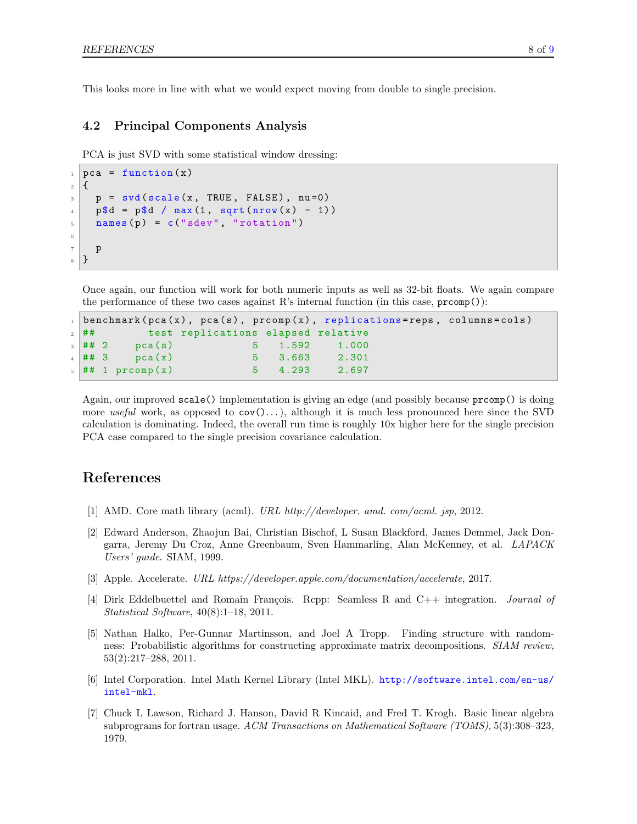This looks more in line with what we would expect moving from double to single precision.

#### <span id="page-10-0"></span>4.2 Principal Components Analysis

PCA is just SVD with some statistical window dressing:

```
_1 pca = function (x)
2 \mid \mathbf{E}\beta p = svd(scale(x, TRUE, FALSE), nu=0)
4 \text{ p$d = p$d / max(1, sqrt(nrow(x) - 1))}5 names (p) = c ("sdev", "rotation")
6
7 p
8 }
```
Once again, our function will work for both numeric inputs as well as 32-bit floats. We again compare the performance of these two cases against R's internal function (in this case,  $\text{prcomp}()$ ):

```
benchmark ( pca(x), pca(s), prcomp(x), replications = reps, columns = cols)2 ## test replications elapsed relative
\frac{1}{3} ## 2 pca(s) 5 1.592 1.000
4 \#4 3 pca(x) 5 3.663 2.301
 5 ## 1 prcomp (x) 5 4.293 2.697
```
<span id="page-10-1"></span>Again, our improved scale() implementation is giving an edge (and possibly because prcomp() is doing more useful work, as opposed to  $cov() \dots$ , although it is much less pronounced here since the SVD calculation is dominating. Indeed, the overall run time is roughly 10x higher here for the single precision PCA case compared to the single precision covariance calculation.

## References

- <span id="page-10-5"></span><span id="page-10-3"></span>[1] AMD. Core math library (acml). URL http://developer. amd. com/acml. jsp, 2012.
- [2] Edward Anderson, Zhaojun Bai, Christian Bischof, L Susan Blackford, James Demmel, Jack Dongarra, Jeremy Du Croz, Anne Greenbaum, Sven Hammarling, Alan McKenney, et al. LAPACK Users' guide. SIAM, 1999.
- <span id="page-10-8"></span><span id="page-10-6"></span>[3] Apple. Accelerate. URL https://developer.apple.com/documentation/accelerate, 2017.
- [4] Dirk Eddelbuettel and Romain François. Rcpp: Seamless R and C++ integration. Journal of Statistical Software, 40(8):1–18, 2011.
- <span id="page-10-7"></span>[5] Nathan Halko, Per-Gunnar Martinsson, and Joel A Tropp. Finding structure with randomness: Probabilistic algorithms for constructing approximate matrix decompositions. SIAM review, 53(2):217–288, 2011.
- <span id="page-10-4"></span>[6] Intel Corporation. Intel Math Kernel Library (Intel MKL). [http://software.intel.com/en-us/](http://software.intel.com/en-us/intel-mkl) [intel-mkl](http://software.intel.com/en-us/intel-mkl).
- <span id="page-10-2"></span>[7] Chuck L Lawson, Richard J. Hanson, David R Kincaid, and Fred T. Krogh. Basic linear algebra subprograms for fortran usage. ACM Transactions on Mathematical Software (TOMS), 5(3):308–323, 1979.